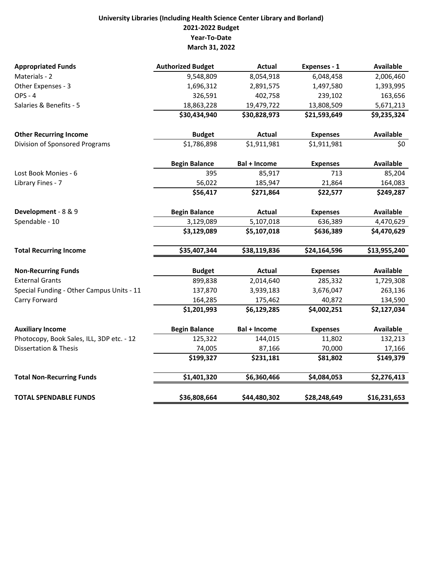## **University Libraries (Including Health Science Center Library and Borland) 2021‐2022 Budget Year‐To‐Date March 31, 2022**

| <b>Appropriated Funds</b>                 | <b>Authorized Budget</b> | <b>Actual</b>       | Expenses - 1    | <b>Available</b> |
|-------------------------------------------|--------------------------|---------------------|-----------------|------------------|
| Materials - 2                             | 9,548,809                | 8,054,918           | 6,048,458       | 2,006,460        |
| Other Expenses - 3                        | 1,696,312                | 2,891,575           | 1,497,580       | 1,393,995        |
| <b>OPS - 4</b>                            | 326,591                  | 402,758             | 239,102         | 163,656          |
| Salaries & Benefits - 5                   | 18,863,228               | 19,479,722          | 13,808,509      | 5,671,213        |
|                                           | \$30,434,940             | \$30,828,973        | \$21,593,649    | \$9,235,324      |
| <b>Other Recurring Income</b>             | <b>Budget</b>            | <b>Actual</b>       | <b>Expenses</b> | <b>Available</b> |
| Division of Sponsored Programs            | \$1,786,898              | \$1,911,981         | \$1,911,981     | \$0              |
|                                           | <b>Begin Balance</b>     | <b>Bal + Income</b> | <b>Expenses</b> | <b>Available</b> |
| Lost Book Monies - 6                      | 395                      | 85,917              | 713             | 85,204           |
| Library Fines - 7                         | 56,022                   | 185,947             | 21,864          | 164,083          |
|                                           | \$56,417                 | \$271,864           | \$22,577        | \$249,287        |
| Development - 8 & 9                       | <b>Begin Balance</b>     | <b>Actual</b>       | <b>Expenses</b> | <b>Available</b> |
| Spendable - 10                            | 3,129,089                | 5,107,018           | 636,389         | 4,470,629        |
|                                           | \$3,129,089              | \$5,107,018         | \$636,389       | \$4,470,629      |
| <b>Total Recurring Income</b>             | \$35,407,344             | \$38,119,836        | \$24,164,596    | \$13,955,240     |
| <b>Non-Recurring Funds</b>                | <b>Budget</b>            | <b>Actual</b>       | <b>Expenses</b> | <b>Available</b> |
| <b>External Grants</b>                    | 899,838                  | 2,014,640           | 285,332         | 1,729,308        |
| Special Funding - Other Campus Units - 11 | 137,870                  | 3,939,183           | 3,676,047       | 263,136          |
| Carry Forward                             | 164,285                  | 175,462             | 40,872          | 134,590          |
|                                           | \$1,201,993              | \$6,129,285         | \$4,002,251     | \$2,127,034      |
| <b>Auxiliary Income</b>                   | <b>Begin Balance</b>     | Bal + Income        | <b>Expenses</b> | <b>Available</b> |
| Photocopy, Book Sales, ILL, 3DP etc. - 12 | 125,322                  | 144,015             | 11,802          | 132,213          |
| <b>Dissertation &amp; Thesis</b>          | 74,005                   | 87,166              | 70,000          | 17,166           |
|                                           | \$199,327                | \$231,181           | \$81,802        | \$149,379        |
| <b>Total Non-Recurring Funds</b>          | \$1,401,320              | \$6,360,466         | \$4,084,053     | \$2,276,413      |
| <b>TOTAL SPENDABLE FUNDS</b>              | \$36,808,664             | \$44,480,302        | \$28,248,649    | \$16,231,653     |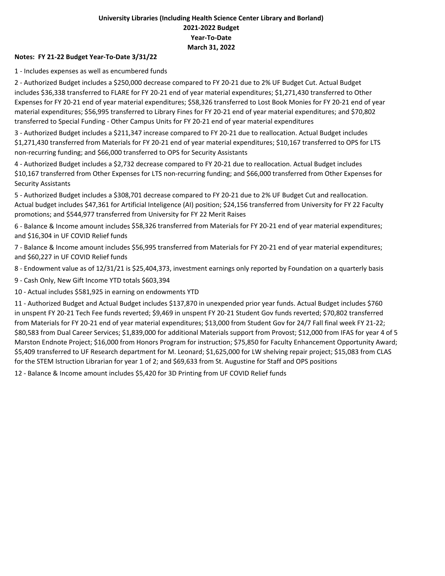## **University Libraries (Including Health Science Center Library and Borland) 2021‐2022 Budget Year‐To‐Date March 31, 2022**

## **Notes: FY 21‐22 Budget Year‐To‐Date 3/31/22**

1 ‐ Includes expenses as well as encumbered funds

2 ‐ Authorized Budget includes a \$250,000 decrease compared to FY 20‐21 due to 2% UF Budget Cut. Actual Budget includes \$36,338 transferred to FLARE for FY 20‐21 end of year material expenditures; \$1,271,430 transferred to Other Expenses for FY 20‐21 end of year material expenditures; \$58,326 transferred to Lost Book Monies for FY 20‐21 end of year material expenditures; \$56,995 transferred to Library Fines for FY 20‐21 end of year material expenditures; and \$70,802 transferred to Special Funding ‐ Other Campus Units for FY 20‐21 end of year material expenditures

3 ‐ Authorized Budget includes a \$211,347 increase compared to FY 20‐21 due to reallocation. Actual Budget includes \$1,271,430 transferred from Materials for FY 20‐21 end of year material expenditures; \$10,167 transferred to OPS for LTS non‐recurring funding; and \$66,000 transferred to OPS for Security Assistants

4 ‐ Authorized Budget includes a \$2,732 decrease compared to FY 20‐21 due to reallocation. Actual Budget includes \$10,167 transferred from Other Expenses for LTS non‐recurring funding; and \$66,000 transferred from Other Expenses for Security Assistants

5 - Authorized Budget includes a \$308,701 decrease compared to FY 20-21 due to 2% UF Budget Cut and reallocation. Actual budget includes \$47,361 for Artificial Inteligence (AI) position; \$24,156 transferred from University for FY 22 Faculty promotions; and \$544,977 transferred from University for FY 22 Merit Raises

6 ‐ Balance & Income amount includes \$58,326 transferred from Materials for FY 20‐21 end of year material expenditures; and \$16,304 in UF COVID Relief funds

7 ‐ Balance & Income amount includes \$56,995 transferred from Materials for FY 20‐21 end of year material expenditures; and \$60,227 in UF COVID Relief funds

8 ‐ Endowment value as of 12/31/21 is \$25,404,373, investment earnings only reported by Foundation on a quarterly basis

9 ‐ Cash Only, New Gift Income YTD totals \$603,394

10 ‐ Actual includes \$581,925 in earning on endowments YTD

11 ‐ Authorized Budget and Actual Budget includes \$137,870 in unexpended prior year funds. Actual Budget includes \$760 in unspent FY 20‐21 Tech Fee funds reverted; \$9,469 in unspent FY 20‐21 Student Gov funds reverted; \$70,802 transferred from Materials for FY 20‐21 end of year material expenditures; \$13,000 from Student Gov for 24/7 Fall final week FY 21‐22; \$80,583 from Dual Career Services; \$1,839,000 for additional Materials support from Provost; \$12,000 from IFAS for year 4 of 5 Marston Endnote Project; \$16,000 from Honors Program for instruction; \$75,850 for Faculty Enhancement Opportunity Award; \$5,409 transferred to UF Research department for M. Leonard; \$1,625,000 for LW shelving repair project; \$15,083 from CLAS for the STEM Istruction Librarian for year 1 of 2; and \$69,633 from St. Augustine for Staff and OPS positions

12 ‐ Balance & Income amount includes \$5,420 for 3D Printing from UF COVID Relief funds